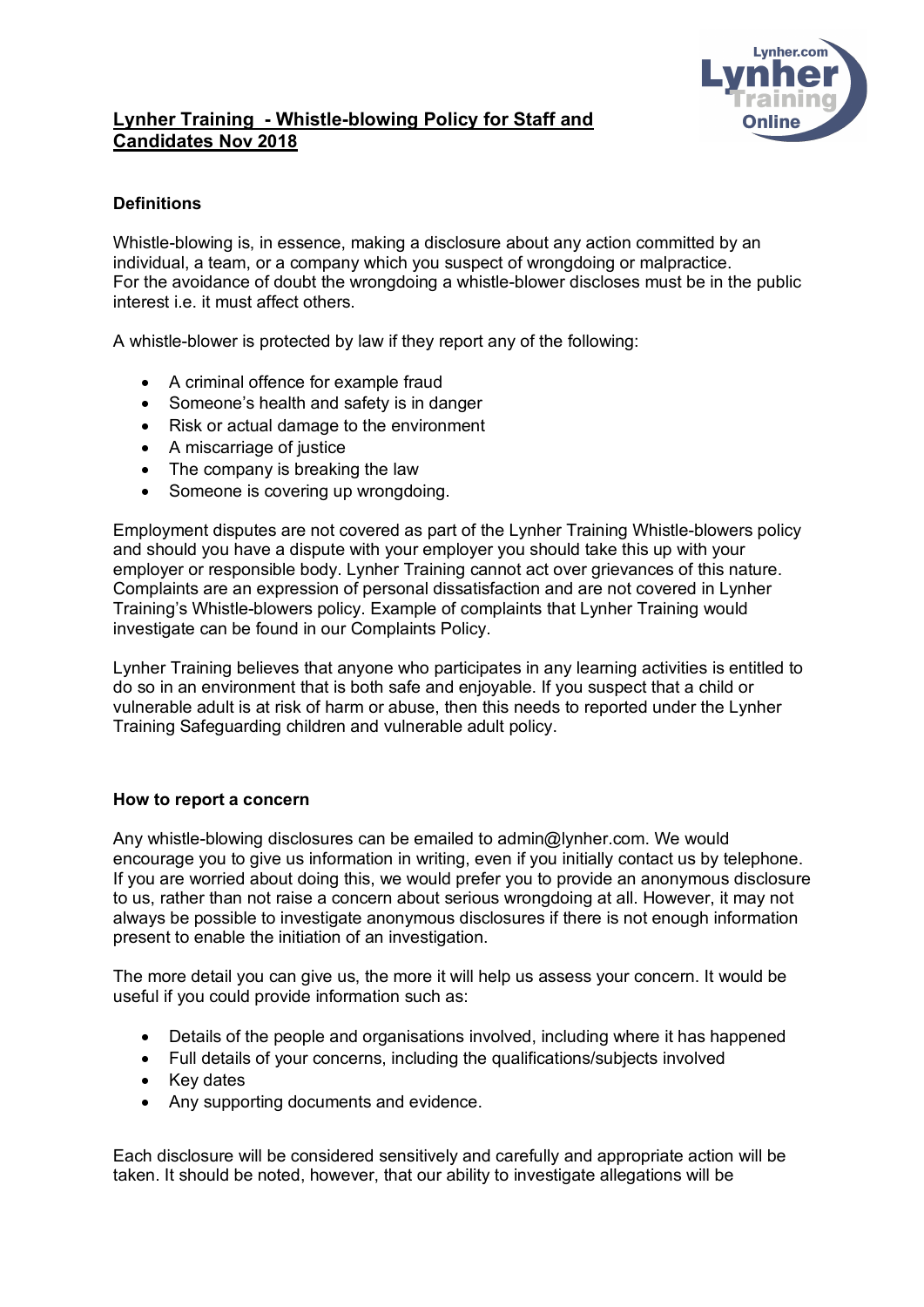

# **Lynher Training - Whistle-blowing Policy for Staff and Candidates Nov 2018**

## **Definitions**

Whistle-blowing is, in essence, making a disclosure about any action committed by an individual, a team, or a company which you suspect of wrongdoing or malpractice. For the avoidance of doubt the wrongdoing a whistle-blower discloses must be in the public interest i.e. it must affect others.

A whistle-blower is protected by law if they report any of the following:

- A criminal offence for example fraud
- Someone's health and safety is in danger
- Risk or actual damage to the environment
- A miscarriage of justice
- The company is breaking the law
- Someone is covering up wrongdoing.

Employment disputes are not covered as part of the Lynher Training Whistle-blowers policy and should you have a dispute with your employer you should take this up with your employer or responsible body. Lynher Training cannot act over grievances of this nature. Complaints are an expression of personal dissatisfaction and are not covered in Lynher Training's Whistle-blowers policy. Example of complaints that Lynher Training would investigate can be found in our Complaints Policy.

Lynher Training believes that anyone who participates in any learning activities is entitled to do so in an environment that is both safe and enjoyable. If you suspect that a child or vulnerable adult is at risk of harm or abuse, then this needs to reported under the Lynher Training Safeguarding children and vulnerable adult policy.

#### **How to report a concern**

Any whistle-blowing disclosures can be emailed to admin@lynher.com. We would encourage you to give us information in writing, even if you initially contact us by telephone. If you are worried about doing this, we would prefer you to provide an anonymous disclosure to us, rather than not raise a concern about serious wrongdoing at all. However, it may not always be possible to investigate anonymous disclosures if there is not enough information present to enable the initiation of an investigation.

The more detail you can give us, the more it will help us assess your concern. It would be useful if you could provide information such as:

- Details of the people and organisations involved, including where it has happened
- Full details of your concerns, including the qualifications/subjects involved
- Key dates
- Any supporting documents and evidence.

Each disclosure will be considered sensitively and carefully and appropriate action will be taken. It should be noted, however, that our ability to investigate allegations will be